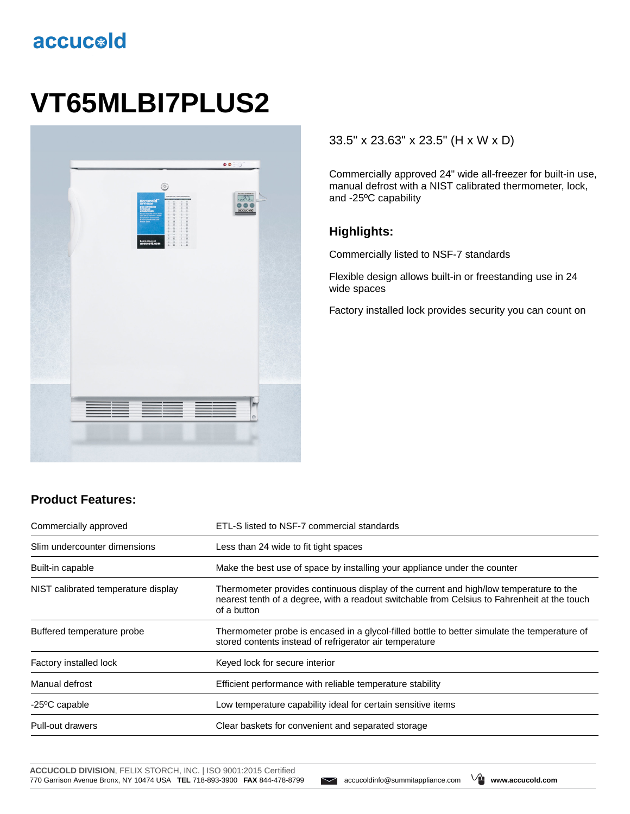# accucold

# **VT65MLBI7PLUS2**



#### 33.5" x 23.63" x 23.5" (H x W x D)

Commercially approved 24" wide all-freezer for built-in use, manual defrost with a NIST calibrated thermometer, lock, and -25ºC capability

#### **Highlights:**

Commercially listed to NSF-7 standards

Flexible design allows built-in or freestanding use in 24 wide spaces

Factory installed lock provides security you can count on

### **Product Features:**

| Commercially approved               | ETL-S listed to NSF-7 commercial standards                                                                                                                                                            |
|-------------------------------------|-------------------------------------------------------------------------------------------------------------------------------------------------------------------------------------------------------|
| Slim undercounter dimensions        | Less than 24 wide to fit tight spaces                                                                                                                                                                 |
| Built-in capable                    | Make the best use of space by installing your appliance under the counter                                                                                                                             |
| NIST calibrated temperature display | Thermometer provides continuous display of the current and high/low temperature to the<br>nearest tenth of a degree, with a readout switchable from Celsius to Fahrenheit at the touch<br>of a button |
| Buffered temperature probe          | Thermometer probe is encased in a glycol-filled bottle to better simulate the temperature of<br>stored contents instead of refrigerator air temperature                                               |
| Factory installed lock              | Keyed lock for secure interior                                                                                                                                                                        |
| Manual defrost                      | Efficient performance with reliable temperature stability                                                                                                                                             |
| -25 <sup>o</sup> C capable          | Low temperature capability ideal for certain sensitive items                                                                                                                                          |
| Pull-out drawers                    | Clear baskets for convenient and separated storage                                                                                                                                                    |

**ACCUCOLD DIVISION**, FELIX STORCH, INC. | ISO 9001:2015 Certified 770 Garrison Avenue Bronx, NY 10474 USA **TEL** 718-893-3900 **FAX** 844-478-8799 accucoldinfo@summitappliance.com **www.accucold.com**